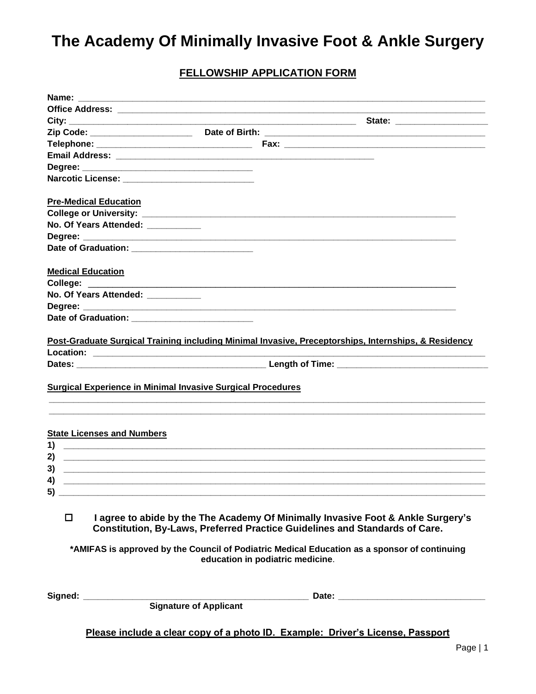### **FELLOWSHIP APPLICATION FORM**

| Name:                                                       |                               |                                                                                                                                                                                                                                                                                                     |  |
|-------------------------------------------------------------|-------------------------------|-----------------------------------------------------------------------------------------------------------------------------------------------------------------------------------------------------------------------------------------------------------------------------------------------------|--|
|                                                             |                               |                                                                                                                                                                                                                                                                                                     |  |
|                                                             |                               |                                                                                                                                                                                                                                                                                                     |  |
|                                                             |                               |                                                                                                                                                                                                                                                                                                     |  |
|                                                             |                               |                                                                                                                                                                                                                                                                                                     |  |
|                                                             |                               |                                                                                                                                                                                                                                                                                                     |  |
|                                                             |                               |                                                                                                                                                                                                                                                                                                     |  |
|                                                             |                               |                                                                                                                                                                                                                                                                                                     |  |
| <b>Pre-Medical Education</b>                                |                               |                                                                                                                                                                                                                                                                                                     |  |
|                                                             |                               |                                                                                                                                                                                                                                                                                                     |  |
| No. Of Years Attended: __________                           |                               |                                                                                                                                                                                                                                                                                                     |  |
|                                                             |                               |                                                                                                                                                                                                                                                                                                     |  |
| Date of Graduation: _______________________________         |                               |                                                                                                                                                                                                                                                                                                     |  |
| <b>Medical Education</b>                                    |                               |                                                                                                                                                                                                                                                                                                     |  |
|                                                             |                               |                                                                                                                                                                                                                                                                                                     |  |
| No. Of Years Attended: __________                           |                               |                                                                                                                                                                                                                                                                                                     |  |
|                                                             |                               |                                                                                                                                                                                                                                                                                                     |  |
|                                                             |                               |                                                                                                                                                                                                                                                                                                     |  |
|                                                             |                               | Post-Graduate Surgical Training including Minimal Invasive, Preceptorships, Internships, & Residency                                                                                                                                                                                                |  |
|                                                             |                               |                                                                                                                                                                                                                                                                                                     |  |
| Surgical Experience in Minimal Invasive Surgical Procedures |                               |                                                                                                                                                                                                                                                                                                     |  |
| <b>State Licenses and Numbers</b>                           |                               |                                                                                                                                                                                                                                                                                                     |  |
| 1)                                                          |                               |                                                                                                                                                                                                                                                                                                     |  |
| 2)                                                          |                               | <u> 1999 - Jan James James James James James James James James James James James James James James James James</u>                                                                                                                                                                                  |  |
| 3)                                                          |                               | <u> 1989 - Jan Barnett, fransk politik (d. 1989)</u>                                                                                                                                                                                                                                                |  |
|                                                             |                               |                                                                                                                                                                                                                                                                                                     |  |
| 5)                                                          |                               |                                                                                                                                                                                                                                                                                                     |  |
| $\Box$                                                      |                               | I agree to abide by the The Academy Of Minimally Invasive Foot & Ankle Surgery's<br>Constitution, By-Laws, Preferred Practice Guidelines and Standards of Care.<br>*AMIFAS is approved by the Council of Podiatric Medical Education as a sponsor of continuing<br>education in podiatric medicine. |  |
| Signed:                                                     |                               |                                                                                                                                                                                                                                                                                                     |  |
|                                                             | <b>Signature of Applicant</b> |                                                                                                                                                                                                                                                                                                     |  |
|                                                             |                               |                                                                                                                                                                                                                                                                                                     |  |
|                                                             |                               | Please include a clear copy of a photo ID. Example: Driver's License, Passport                                                                                                                                                                                                                      |  |
|                                                             |                               |                                                                                                                                                                                                                                                                                                     |  |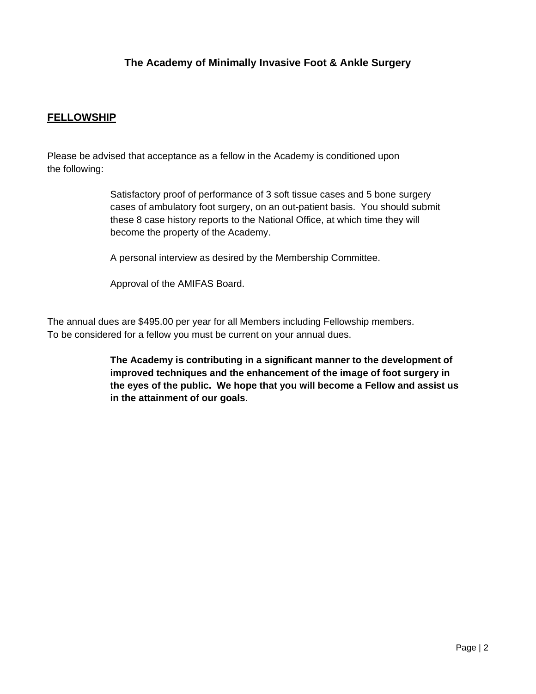#### **FELLOWSHIP**

Please be advised that acceptance as a fellow in the Academy is conditioned upon the following:

> Satisfactory proof of performance of 3 soft tissue cases and 5 bone surgery cases of ambulatory foot surgery, on an out-patient basis. You should submit these 8 case history reports to the National Office, at which time they will become the property of the Academy.

A personal interview as desired by the Membership Committee.

Approval of the AMIFAS Board.

The annual dues are \$495.00 per year for all Members including Fellowship members. To be considered for a fellow you must be current on your annual dues.

> **The Academy is contributing in a significant manner to the development of improved techniques and the enhancement of the image of foot surgery in the eyes of the public. We hope that you will become a Fellow and assist us in the attainment of our goals**.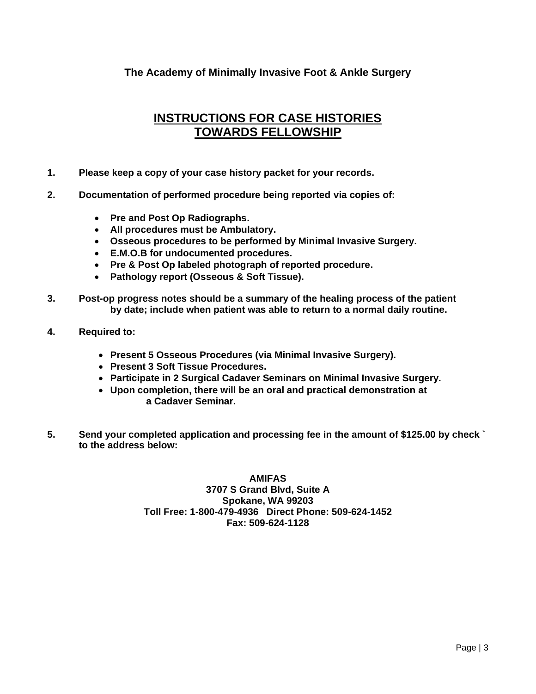#### **INSTRUCTIONS FOR CASE HISTORIES TOWARDS FELLOWSHIP**

- **1. Please keep a copy of your case history packet for your records.**
- **2. Documentation of performed procedure being reported via copies of:**
	- **Pre and Post Op Radiographs.**
	- **All procedures must be Ambulatory.**
	- **Osseous procedures to be performed by Minimal Invasive Surgery.**
	- **E.M.O.B for undocumented procedures.**
	- **Pre & Post Op labeled photograph of reported procedure.**
	- **Pathology report (Osseous & Soft Tissue).**
- **3. Post-op progress notes should be a summary of the healing process of the patient by date; include when patient was able to return to a normal daily routine.**
- **4. Required to:**
	- **Present 5 Osseous Procedures (via Minimal Invasive Surgery).**
	- **Present 3 Soft Tissue Procedures.**
	- **Participate in 2 Surgical Cadaver Seminars on Minimal Invasive Surgery.**
	- **Upon completion, there will be an oral and practical demonstration at a Cadaver Seminar.**
- **5. Send your completed application and processing fee in the amount of \$125.00 by check ` to the address below:**

**AMIFAS 3707 S Grand Blvd, Suite A Spokane, WA 99203 Toll Free: 1-800-479-4936 Direct Phone: 509-624-1452 Fax: 509-624-1128**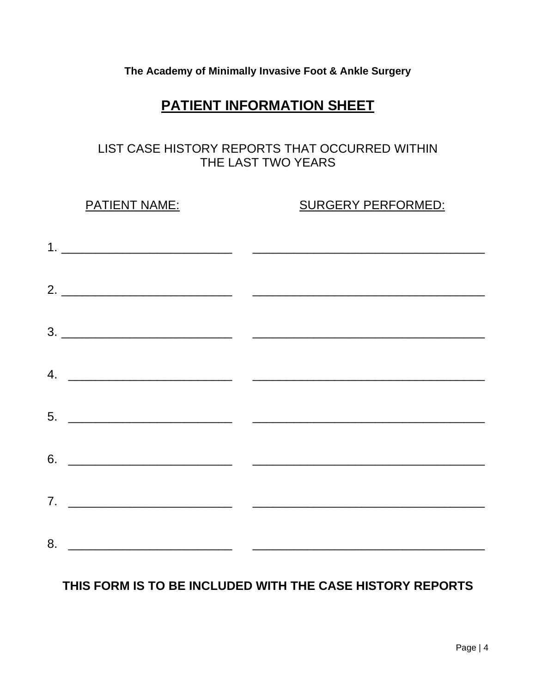# **PATIENT INFORMATION SHEET**

### LIST CASE HISTORY REPORTS THAT OCCURRED WITHIN THE LAST TWO YEARS

PATIENT NAME: SURGERY PERFORMED:

| $2.$ $\overline{\phantom{a}}$ |  |  |  |
|-------------------------------|--|--|--|
|                               |  |  |  |
| 4. $\overline{\phantom{a}}$   |  |  |  |
|                               |  |  |  |
|                               |  |  |  |
|                               |  |  |  |
|                               |  |  |  |

## **THIS FORM IS TO BE INCLUDED WITH THE CASE HISTORY REPORTS**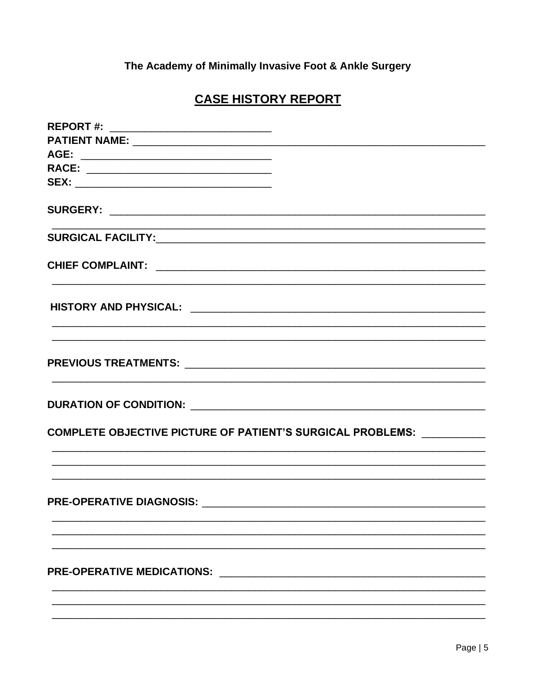# **CASE HISTORY REPORT**

| REPORT #: _______________________________                                         |
|-----------------------------------------------------------------------------------|
|                                                                                   |
|                                                                                   |
| RACE: ___________________________________                                         |
|                                                                                   |
|                                                                                   |
|                                                                                   |
|                                                                                   |
| ,我们也不能在这里的时候,我们也不能在这里的时候,我们也不能会在这里的时候,我们也不能会在这里的时候,我们也不能会在这里的时候,我们也不能会在这里的时候,我们也不 |
| ,我们也不能在这里的时候,我们也不能在这里的时候,我们也不能会不能会不能会不能会不能会不能会不能会不能会。""我们的人们,我们也不能会不能会不能会不能会不能会不  |
|                                                                                   |
| COMPLETE OBJECTIVE PICTURE OF PATIENT'S SURGICAL PROBLEMS: __________             |
|                                                                                   |
|                                                                                   |
|                                                                                   |
| <b>PRE-OPERATIVE MEDICATIONS:</b>                                                 |
|                                                                                   |